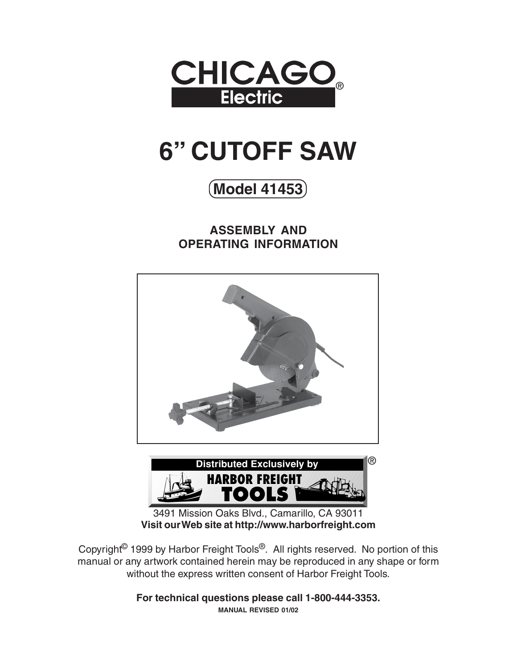

# **6" CUTOFF SAW**

**Model 41453**

**ASSEMBLY AND OPERATING INFORMATION**





3491 Mission Oaks Blvd., Camarillo, CA 93011 **Visit our Web site at http://www.harborfreight.com**

Copyright© 1999 by Harbor Freight Tools®. All rights reserved. No portion of this manual or any artwork contained herein may be reproduced in any shape or form without the express written consent of Harbor Freight Tools.

> **For technical questions please call 1-800-444-3353. MANUAL REVISED 01/02**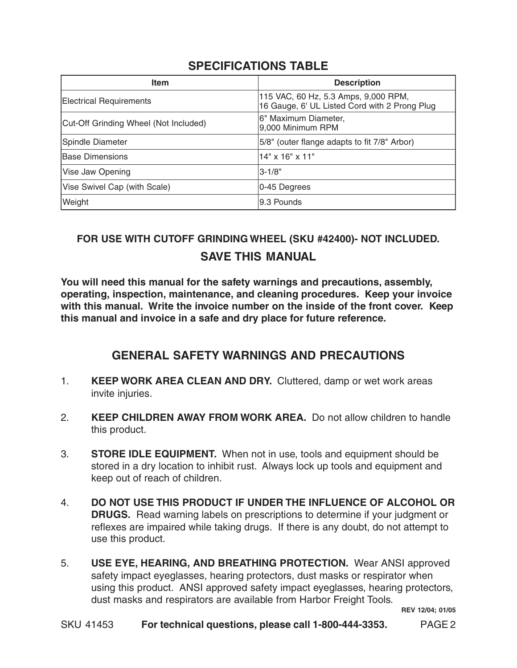#### **SPECIFICATIONS TABLE**

| <b>Item</b>                           | <b>Description</b>                                                                    |  |  |  |  |
|---------------------------------------|---------------------------------------------------------------------------------------|--|--|--|--|
| <b>Electrical Requirements</b>        | 115 VAC, 60 Hz, 5.3 Amps, 9,000 RPM,<br>16 Gauge, 6' UL Listed Cord with 2 Prong Plug |  |  |  |  |
| Cut-Off Grinding Wheel (Not Included) | 6" Maximum Diameter,<br>9,000 Minimum RPM                                             |  |  |  |  |
| Spindle Diameter                      | 5/8" (outer flange adapts to fit 7/8" Arbor)                                          |  |  |  |  |
| Base Dimensions                       | 14" x 16" x 11"                                                                       |  |  |  |  |
| Vise Jaw Opening                      | $3 - 1/8"$                                                                            |  |  |  |  |
| Vise Swivel Cap (with Scale)          | 0-45 Degrees                                                                          |  |  |  |  |
| Weight                                | 9.3 Pounds                                                                            |  |  |  |  |

# **SAVE THIS MANUAL FOR USE WITH CUTOFF GRINDING WHEEL (SKU #42400)- NOT INCLUDED.**

**You will need this manual for the safety warnings and precautions, assembly, operating, inspection, maintenance, and cleaning procedures. Keep your invoice with this manual. Write the invoice number on the inside of the front cover. Keep this manual and invoice in a safe and dry place for future reference.**

#### **GENERAL SAFETY WARNINGS AND PRECAUTIONS**

- 1. **KEEP WORK AREA CLEAN AND DRY.** Cluttered, damp or wet work areas invite injuries.
- 2. **KEEP CHILDREN AWAY FROM WORK AREA.** Do not allow children to handle this product.
- 3. **STORE IDLE EQUIPMENT.** When not in use, tools and equipment should be stored in a dry location to inhibit rust. Always lock up tools and equipment and keep out of reach of children.
- 4. **DO NOT USE THIS PRODUCT IF UNDER THE INFLUENCE OF ALCOHOL OR DRUGS.** Read warning labels on prescriptions to determine if your judgment or reflexes are impaired while taking drugs. If there is any doubt, do not attempt to use this product.
- 5. **USE EYE, HEARING, AND BREATHING PROTECTION.** Wear ANSI approved safety impact eyeglasses, hearing protectors, dust masks or respirator when using this product. ANSI approved safety impact eyeglasses, hearing protectors, dust masks and respirators are available from Harbor Freight Tools.

**REV 12/04; 01/05**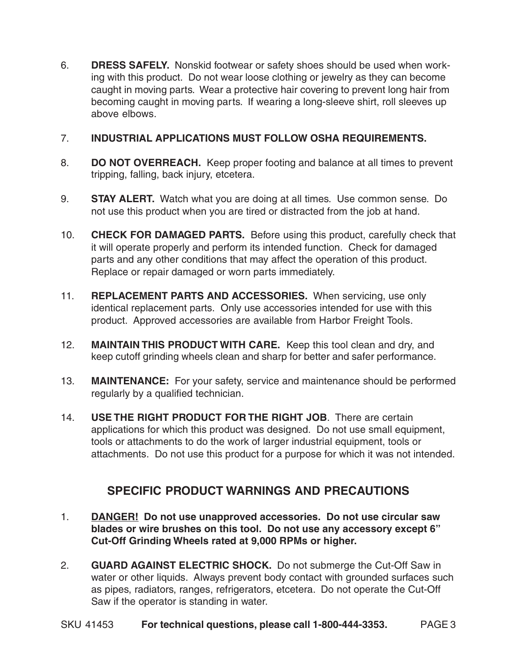6. **DRESS SAFELY.** Nonskid footwear or safety shoes should be used when working with this product. Do not wear loose clothing or jewelry as they can become caught in moving parts. Wear a protective hair covering to prevent long hair from becoming caught in moving parts. If wearing a long-sleeve shirt, roll sleeves up above elbows.

#### 7. **INDUSTRIAL APPLICATIONS MUST FOLLOW OSHA REQUIREMENTS.**

- 8. **DO NOT OVERREACH.** Keep proper footing and balance at all times to prevent tripping, falling, back injury, etcetera.
- 9. **STAY ALERT.** Watch what you are doing at all times. Use common sense. Do not use this product when you are tired or distracted from the job at hand.
- 10. **CHECK FOR DAMAGED PARTS.** Before using this product, carefully check that it will operate properly and perform its intended function. Check for damaged parts and any other conditions that may affect the operation of this product. Replace or repair damaged or worn parts immediately.
- 11. **REPLACEMENT PARTS AND ACCESSORIES.** When servicing, use only identical replacement parts. Only use accessories intended for use with this product. Approved accessories are available from Harbor Freight Tools.
- 12. **MAINTAIN THIS PRODUCT WITH CARE.** Keep this tool clean and dry, and keep cutoff grinding wheels clean and sharp for better and safer performance.
- 13. **MAINTENANCE:** For your safety, service and maintenance should be performed regularly by a qualified technician.
- 14. **USE THE RIGHT PRODUCT FOR THE RIGHT JOB**. There are certain applications for which this product was designed. Do not use small equipment, tools or attachments to do the work of larger industrial equipment, tools or attachments. Do not use this product for a purpose for which it was not intended.

#### **SPECIFIC PRODUCT WARNINGS AND PRECAUTIONS**

- 1. **DANGER! Do not use unapproved accessories. Do not use circular saw blades or wire brushes on this tool. Do not use any accessory except 6" Cut-Off Grinding Wheels rated at 9,000 RPMs or higher.**
- 2. **GUARD AGAINST ELECTRIC SHOCK.** Do not submerge the Cut-Off Saw in water or other liquids. Always prevent body contact with grounded surfaces such as pipes, radiators, ranges, refrigerators, etcetera. Do not operate the Cut-Off Saw if the operator is standing in water.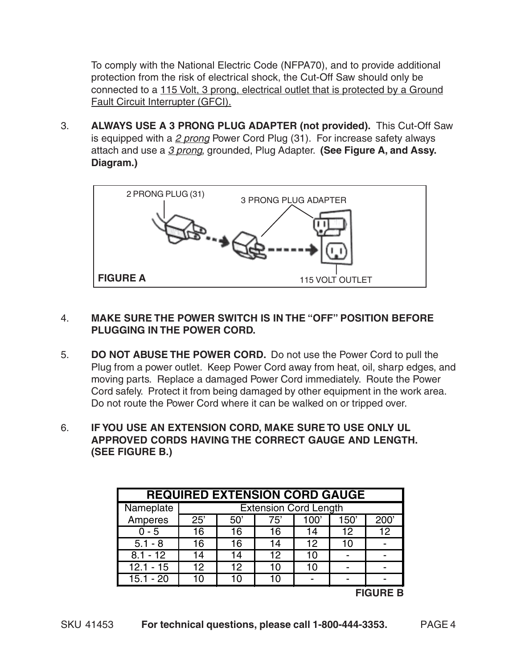To comply with the National Electric Code (NFPA70), and to provide additional protection from the risk of electrical shock, the Cut-Off Saw should only be connected to a 115 Volt, 3 prong, electrical outlet that is protected by a Ground Fault Circuit Interrupter (GFCI).

3. **ALWAYS USE A 3 PRONG PLUG ADAPTER (not provided).** This Cut-Off Saw is equipped with a  $2$  prong Power Cord Plug  $(31)$ . For increase safety always attach and use a 3 prong, grounded, Plug Adapter. **(See Figure A, and Assy. Diagram.)**



#### 4. **MAKE SURE THE POWER SWITCH IS IN THE "OFF" POSITION BEFORE PLUGGING IN THE POWER CORD.**

- 5. **DO NOT ABUSE THE POWER CORD.** Do not use the Power Cord to pull the Plug from a power outlet. Keep Power Cord away from heat, oil, sharp edges, and moving parts. Replace a damaged Power Cord immediately. Route the Power Cord safely. Protect it from being damaged by other equipment in the work area. Do not route the Power Cord where it can be walked on or tripped over.
- 6. **IF YOU USE AN EXTENSION CORD, MAKE SURE TO USE ONLY UL APPROVED CORDS HAVING THE CORRECT GAUGE AND LENGTH. (SEE FIGURE B.)**

| <b>REQUIRED EXTENSION CORD GAUGE</b> |                              |     |     |      |      |      |  |  |
|--------------------------------------|------------------------------|-----|-----|------|------|------|--|--|
| Nameplate                            | <b>Extension Cord Length</b> |     |     |      |      |      |  |  |
| Amperes                              | 25'                          | 50' | 75' | 100' | 150' | 200' |  |  |
| $0 - 5$                              | 16                           | 16  | 16  | 14   | 12   | 12   |  |  |
| $5.1 - 8$                            | 16                           | 16  | 14  | 12   | 10   |      |  |  |
| $8.1 - 12$                           | 14                           | 14  | 12  | 10   |      |      |  |  |
| $12.1 - 15$                          | 12                           | 12  | 10  | 10   |      |      |  |  |
| $15.1 - 20$                          | 10                           | 10  | 10  |      |      |      |  |  |
| <b>FIGURE B</b>                      |                              |     |     |      |      |      |  |  |

SKU 41453 **For technical questions, please call 1-800-444-3353.** PAGE 4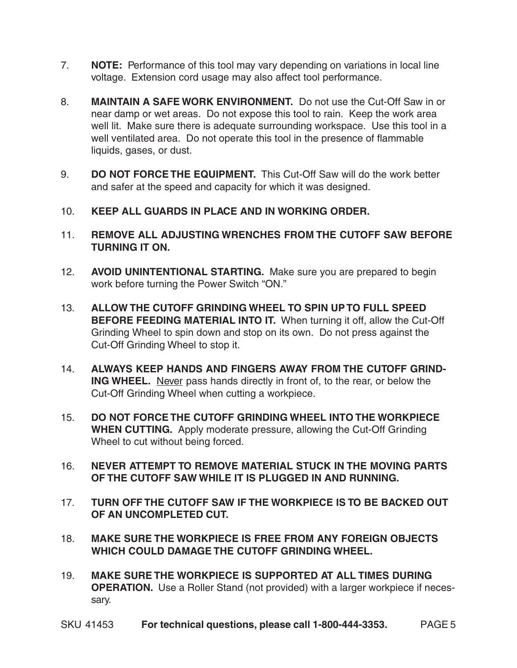- 7. **NOTE:** Performance of this tool may vary depending on variations in local line voltage. Extension cord usage may also affect tool performance.
- 8. **MAINTAIN A SAFE WORK ENVIRONMENT.** Do not use the Cut-Off Saw in or near damp or wet areas. Do not expose this tool to rain. Keep the work area well lit. Make sure there is adequate surrounding workspace. Use this tool in a well ventilated area. Do not operate this tool in the presence of flammable liquids, gases, or dust.
- 9. **DO NOT FORCE THE EQUIPMENT.** This Cut-Off Saw will do the work better and safer at the speed and capacity for which it was designed.
- 10. **KEEP ALL GUARDS IN PLACE AND IN WORKING ORDER.**
- 11. **REMOVE ALL ADJUSTING WRENCHES FROM THE CUTOFF SAW BEFORE TURNING IT ON.**
- 12. **AVOID UNINTENTIONAL STARTING.** Make sure you are prepared to begin work before turning the Power Switch "ON."
- 13. **ALLOW THE CUTOFF GRINDING WHEEL TO SPIN UP TO FULL SPEED BEFORE FEEDING MATERIAL INTO IT.** When turning it off, allow the Cut-Off Grinding Wheel to spin down and stop on its own. Do not press against the Cut-Off Grinding Wheel to stop it.
- 14. **ALWAYS KEEP HANDS AND FINGERS AWAY FROM THE CUTOFF GRIND-ING WHEEL.** Never pass hands directly in front of, to the rear, or below the Cut-Off Grinding Wheel when cutting a workpiece.
- 15. **DO NOT FORCE THE CUTOFF GRINDING WHEEL INTO THE WORKPIECE WHEN CUTTING.** Apply moderate pressure, allowing the Cut-Off Grinding Wheel to cut without being forced.
- 16. **NEVER ATTEMPT TO REMOVE MATERIAL STUCK IN THE MOVING PARTS OF THE CUTOFF SAW WHILE IT IS PLUGGED IN AND RUNNING.**
- 17. **TURN OFF THE CUTOFF SAW IF THE WORKPIECE IS TO BE BACKED OUT OF AN UNCOMPLETED CUT.**
- 18. **MAKE SURE THE WORKPIECE IS FREE FROM ANY FOREIGN OBJECTS WHICH COULD DAMAGE THE CUTOFF GRINDING WHEEL.**
- 19. **MAKE SURE THE WORKPIECE IS SUPPORTED AT ALL TIMES DURING OPERATION.** Use a Roller Stand (not provided) with a larger workpiece if necessary.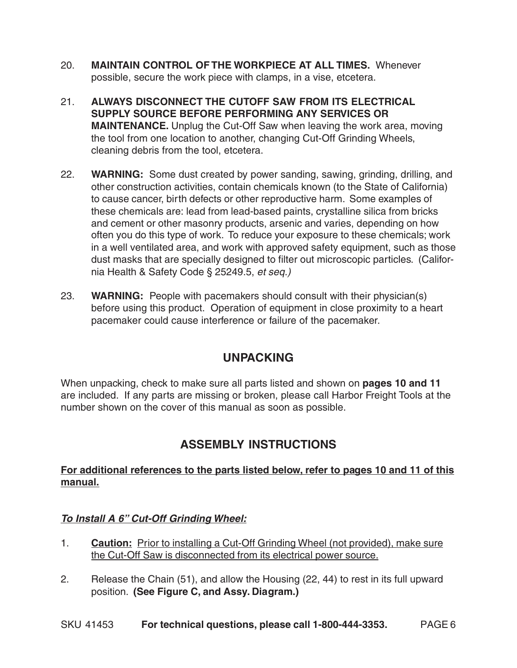- 20. **MAINTAIN CONTROL OF THE WORKPIECE AT ALL TIMES.** Whenever possible, secure the work piece with clamps, in a vise, etcetera.
- 21. **ALWAYS DISCONNECT THE CUTOFF SAW FROM ITS ELECTRICAL SUPPLY SOURCE BEFORE PERFORMING ANY SERVICES OR MAINTENANCE.** Unplug the Cut-Off Saw when leaving the work area, moving the tool from one location to another, changing Cut-Off Grinding Wheels, cleaning debris from the tool, etcetera.
- 22. **WARNING:** Some dust created by power sanding, sawing, grinding, drilling, and other construction activities, contain chemicals known (to the State of California) to cause cancer, birth defects or other reproductive harm. Some examples of these chemicals are: lead from lead-based paints, crystalline silica from bricks and cement or other masonry products, arsenic and varies, depending on how often you do this type of work. To reduce your exposure to these chemicals; work in a well ventilated area, and work with approved safety equipment, such as those dust masks that are specially designed to filter out microscopic particles. (California Health & Safety Code § 25249.5, et seq.)
- 23. **WARNING:** People with pacemakers should consult with their physician(s) before using this product. Operation of equipment in close proximity to a heart pacemaker could cause interference or failure of the pacemaker.

## **UNPACKING**

When unpacking, check to make sure all parts listed and shown on **pages 10 and 11** are included. If any parts are missing or broken, please call Harbor Freight Tools at the number shown on the cover of this manual as soon as possible.

## **ASSEMBLY INSTRUCTIONS**

#### **For additional references to the parts listed below, refer to pages 10 and 11 of this manual.**

#### **To Install A 6" Cut-Off Grinding Wheel:**

- 1. **Caution:** Prior to installing a Cut-Off Grinding Wheel (not provided), make sure the Cut-Off Saw is disconnected from its electrical power source.
- 2. Release the Chain (51), and allow the Housing (22, 44) to rest in its full upward position. **(See Figure C, and Assy. Diagram.)**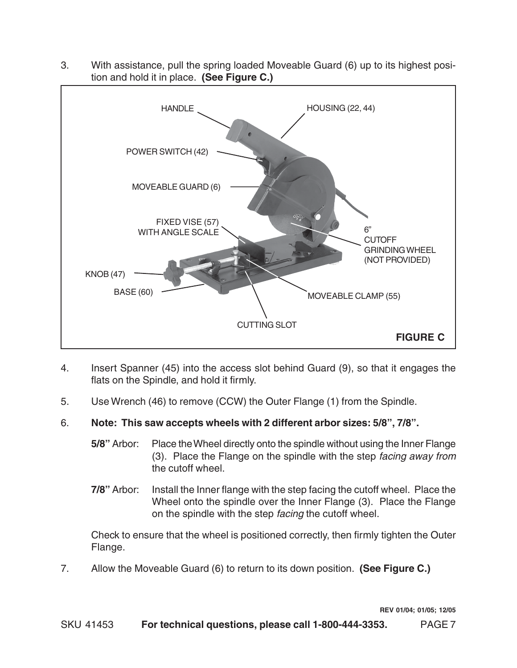

3. With assistance, pull the spring loaded Moveable Guard (6) up to its highest position and hold it in place. **(See Figure C.)**

- 4. Insert Spanner (45) into the access slot behind Guard (9), so that it engages the flats on the Spindle, and hold it firmly.
- 5. Use Wrench (46) to remove (CCW) the Outer Flange (1) from the Spindle.
- 6. **Note: This saw accepts wheels with 2 different arbor sizes: 5/8", 7/8".**
	- **5/8"** Arbor: Place the Wheel directly onto the spindle without using the Inner Flange (3). Place the Flange on the spindle with the step facing away from the cutoff wheel.
	- **7/8"** Arbor: Install the Inner flange with the step facing the cutoff wheel. Place the Wheel onto the spindle over the Inner Flange (3). Place the Flange on the spindle with the step facing the cutoff wheel.

Check to ensure that the wheel is positioned correctly, then firmly tighten the Outer Flange.

7. Allow the Moveable Guard (6) to return to its down position. **(See Figure C.)**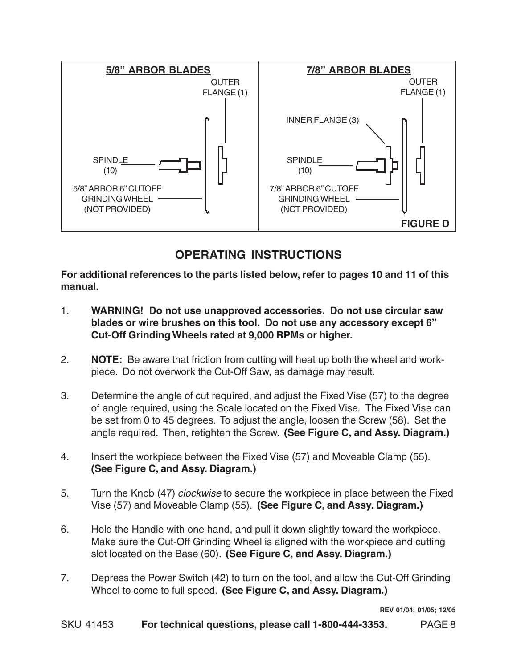

# **OPERATING INSTRUCTIONS**

**For additional references to the parts listed below, refer to pages 10 and 11 of this manual.**

- 1. **WARNING! Do not use unapproved accessories. Do not use circular saw blades or wire brushes on this tool. Do not use any accessory except 6" Cut-Off Grinding Wheels rated at 9,000 RPMs or higher.**
- 2. **NOTE:** Be aware that friction from cutting will heat up both the wheel and workpiece. Do not overwork the Cut-Off Saw, as damage may result.
- 3. Determine the angle of cut required, and adjust the Fixed Vise (57) to the degree of angle required, using the Scale located on the Fixed Vise. The Fixed Vise can be set from 0 to 45 degrees. To adjust the angle, loosen the Screw (58). Set the angle required. Then, retighten the Screw. **(See Figure C, and Assy. Diagram.)**
- 4. Insert the workpiece between the Fixed Vise (57) and Moveable Clamp (55). **(See Figure C, and Assy. Diagram.)**
- 5. Turn the Knob (47) clockwise to secure the workpiece in place between the Fixed Vise (57) and Moveable Clamp (55). **(See Figure C, and Assy. Diagram.)**
- 6. Hold the Handle with one hand, and pull it down slightly toward the workpiece. Make sure the Cut-Off Grinding Wheel is aligned with the workpiece and cutting slot located on the Base (60). **(See Figure C, and Assy. Diagram.)**
- 7. Depress the Power Switch (42) to turn on the tool, and allow the Cut-Off Grinding Wheel to come to full speed. **(See Figure C, and Assy. Diagram.)**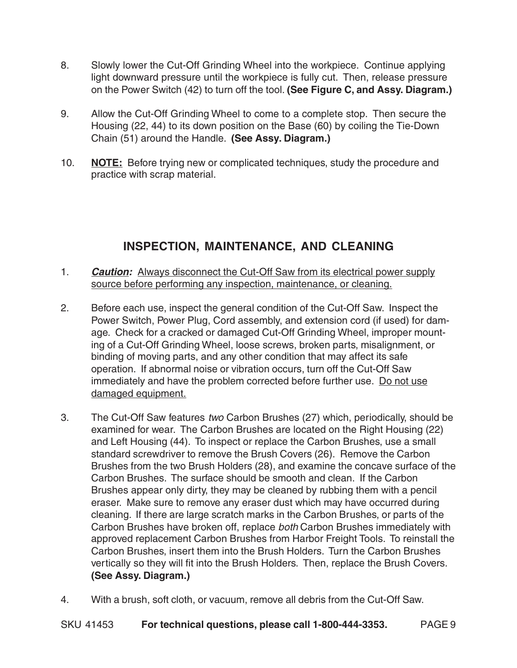- 8. Slowly lower the Cut-Off Grinding Wheel into the workpiece. Continue applying light downward pressure until the workpiece is fully cut. Then, release pressure on the Power Switch (42) to turn off the tool. **(See Figure C, and Assy. Diagram.)**
- 9. Allow the Cut-Off Grinding Wheel to come to a complete stop. Then secure the Housing (22, 44) to its down position on the Base (60) by coiling the Tie-Down Chain (51) around the Handle. **(See Assy. Diagram.)**
- 10. **NOTE:** Before trying new or complicated techniques, study the procedure and practice with scrap material.

# **INSPECTION, MAINTENANCE, AND CLEANING**

- 1. **Caution:** Always disconnect the Cut-Off Saw from its electrical power supply source before performing any inspection, maintenance, or cleaning.
- 2. Before each use, inspect the general condition of the Cut-Off Saw. Inspect the Power Switch, Power Plug, Cord assembly, and extension cord (if used) for damage. Check for a cracked or damaged Cut-Off Grinding Wheel, improper mounting of a Cut-Off Grinding Wheel, loose screws, broken parts, misalignment, or binding of moving parts, and any other condition that may affect its safe operation. If abnormal noise or vibration occurs, turn off the Cut-Off Saw immediately and have the problem corrected before further use. Do not use damaged equipment.
- 3. The Cut-Off Saw features two Carbon Brushes (27) which, periodically, should be examined for wear. The Carbon Brushes are located on the Right Housing (22) and Left Housing (44). To inspect or replace the Carbon Brushes, use a small standard screwdriver to remove the Brush Covers (26). Remove the Carbon Brushes from the two Brush Holders (28), and examine the concave surface of the Carbon Brushes. The surface should be smooth and clean. If the Carbon Brushes appear only dirty, they may be cleaned by rubbing them with a pencil eraser. Make sure to remove any eraser dust which may have occurred during cleaning. If there are large scratch marks in the Carbon Brushes, or parts of the Carbon Brushes have broken off, replace both Carbon Brushes immediately with approved replacement Carbon Brushes from Harbor Freight Tools. To reinstall the Carbon Brushes, insert them into the Brush Holders. Turn the Carbon Brushes vertically so they will fit into the Brush Holders. Then, replace the Brush Covers. **(See Assy. Diagram.)**
- 4. With a brush, soft cloth, or vacuum, remove all debris from the Cut-Off Saw.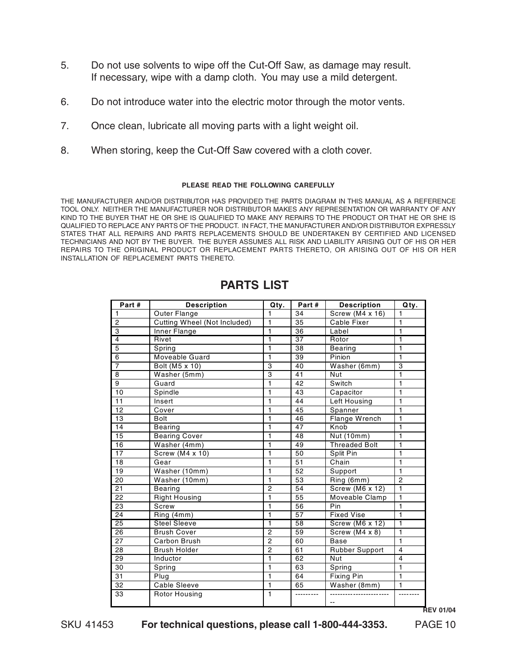- 5. Do not use solvents to wipe off the Cut-Off Saw, as damage may result. If necessary, wipe with a damp cloth. You may use a mild detergent.
- 6. Do not introduce water into the electric motor through the motor vents.
- 7. Once clean, lubricate all moving parts with a light weight oil.
- 8. When storing, keep the Cut-Off Saw covered with a cloth cover.

#### **PLEASE READ THE FOLLOWING CAREFULLY**

THE MANUFACTURER AND/OR DISTRIBUTOR HAS PROVIDED THE PARTS DIAGRAM IN THIS MANUAL AS A REFERENCE TOOL ONLY. NEITHER THE MANUFACTURER NOR DISTRIBUTOR MAKES ANY REPRESENTATION OR WARRANTY OF ANY KIND TO THE BUYER THAT HE OR SHE IS QUALIFIED TO MAKE ANY REPAIRS TO THE PRODUCT OR THAT HE OR SHE IS QUALIFIED TO REPLACE ANY PARTS OF THE PRODUCT. IN FACT, THE MANUFACTURER AND/OR DISTRIBUTOR EXPRESSLY STATES THAT ALL REPAIRS AND PARTS REPLACEMENTS SHOULD BE UNDERTAKEN BY CERTIFIED AND LICENSED TECHNICIANS AND NOT BY THE BUYER. THE BUYER ASSUMES ALL RISK AND LIABILITY ARISING OUT OF HIS OR HER REPAIRS TO THE ORIGINAL PRODUCT OR REPLACEMENT PARTS THERETO, OR ARISING OUT OF HIS OR HER INSTALLATION OF REPLACEMENT PARTS THERETO.

| Part#           | <b>Description</b>                  | Qty.           | Part#           | <b>Description</b>   | Qty.           |
|-----------------|-------------------------------------|----------------|-----------------|----------------------|----------------|
| $\mathbf{1}$    | <b>Outer Flange</b>                 | 1              | 34              | Screw (M4 x 16)      | 1              |
| $\overline{2}$  | <b>Cutting Wheel (Not Included)</b> | 1              | 35              | Cable Fixer          | $\mathbf{1}$   |
| 3               | Inner Flange                        | $\mathbf{1}$   | 36              | Label                | $\mathbf{1}$   |
| $\overline{4}$  | Rivet                               | $\overline{1}$ | $\overline{37}$ | Rotor                | $\overline{1}$ |
| 5               | Spring                              | 1              | 38              | Bearing              | $\mathbf{1}$   |
| 6               | Moveable Guard                      | 1              | 39              | Pinion               | 1              |
| $\overline{7}$  | Bolt (M5 x 10)                      | 3              | 40              | Washer (6mm)         | 3              |
| 8               | Washer (5mm)                        | 3              | 41              | Nut                  | 1              |
| 9               | Guard                               | 1              | 42              | Switch               | 1              |
| 10              | Spindle                             | 1              | 43              | Capacitor            | $\mathbf{1}$   |
| 11              | Insert                              | 1              | 44              | Left Housing         | 1              |
| 12              | Cover                               | 1              | 45              | Spanner              | $\mathbf{1}$   |
| 13              | <b>Bolt</b>                         | 1              | 46              | Flange Wrench        | $\mathbf{1}$   |
| 14              | <b>Bearing</b>                      | 1              | 47              | Knob                 | $\mathbf{1}$   |
| 15              | <b>Bearing Cover</b>                | 1              | 48              | Nut (10mm)           | $\mathbf{1}$   |
| 16              | Washer (4mm)                        | 1              | 49              | <b>Threaded Bolt</b> | $\mathbf{1}$   |
| 17              | Screw (M4 x 10)                     | 1              | 50              | Split Pin            | $\overline{1}$ |
| 18              | Gear                                | $\mathbf{1}$   | 51              | Chain                | $\mathbf{1}$   |
| 19              | Washer (10mm)                       | 1              | $\overline{52}$ | Support              | $\mathbf{1}$   |
| $\overline{20}$ | Washer (10mm)                       | 1              | $\overline{53}$ | Ring (6mm)           | $\overline{2}$ |
| $\overline{21}$ | <b>Bearing</b>                      | $\overline{2}$ | 54              | Screw (M6 x 12)      | $\mathbf{1}$   |
| 22              | <b>Right Housing</b>                | 1              | 55              | Moveable Clamp       | $\mathbf{1}$   |
| 23              | Screw                               | 1              | 56              | Pin                  | $\mathbf{1}$   |
| 24              | Ring (4mm)                          | 1              | 57              | <b>Fixed Vise</b>    | $\overline{1}$ |
| 25              | <b>Steel Sleeve</b>                 | 1              | 58              | Screw (M6 x 12)      | $\overline{1}$ |
| 26              | <b>Brush Cover</b>                  | $\overline{2}$ | 59              | Screw (M4 x 8)       | 1              |
| 27              | Carbon Brush                        | $\overline{2}$ | 60              | Base                 | $\mathbf{1}$   |
| 28              | <b>Brush Holder</b>                 | $\overline{2}$ | 61              | Rubber Support       | $\overline{4}$ |
| $\overline{29}$ | Inductor                            | 1              | 62              | Nut                  | $\overline{4}$ |
| 30              | Spring                              | 1              | 63              | Spring               | $\mathbf{1}$   |
| 31              | Plug                                | 1              | 64              | Fixing Pin           | $\overline{1}$ |
| 32              | <b>Cable Sleeve</b>                 | $\overline{1}$ | 65              | Washer (8mm)         | $\mathbf{1}$   |
| 33              | <b>Rotor Housing</b>                | 1              | ---------       | $\sim$ $\sim$        |                |

#### **PARTS LIST**

**REV 01/04**